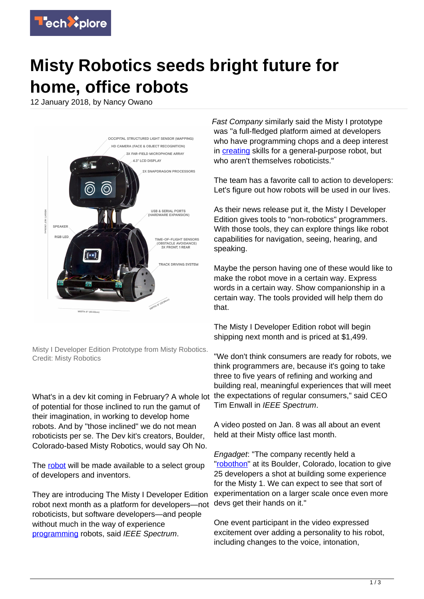

## **Misty Robotics seeds bright future for home, office robots**

12 January 2018, by Nancy Owano



Misty I Developer Edition Prototype from Misty Robotics. Credit: Misty Robotics

What's in a dev kit coming in February? A whole lot of potential for those inclined to run the gamut of their imagination, in working to develop home robots. And by "those inclined" we do not mean roboticists per se. The Dev kit's creators, Boulder, Colorado-based Misty Robotics, would say Oh No.

The [robot](https://techxplore.com/tags/robot/) will be made available to a select group of developers and inventors.

They are introducing The Misty I Developer Edition robot next month as a platform for developers—not roboticists, but software developers—and people without much in the way of experience [programming](https://spectrum.ieee.org/automaton/robotics/home-robots/misty-robotics-introduces-misty-i-a-mobile-robot-developer-platform) robots, said IEEE Spectrum.

Fast Company similarly said the Misty I prototype was "a full-fledged platform aimed at developers who have programming chops and a deep interest in **creating** skills for a general-purpose robot, but who aren't themselves roboticists."

The team has a favorite call to action to developers: Let's figure out how robots will be used in our lives.

As their news release put it, the Misty I Developer Edition gives tools to "non-robotics" programmers. With those tools, they can explore things like robot capabilities for navigation, seeing, hearing, and speaking.

Maybe the person having one of these would like to make the robot move in a certain way. Express words in a certain way. Show companionship in a certain way. The tools provided will help them do that.

The Misty I Developer Edition robot will begin shipping next month and is priced at \$1,499.

"We don't think consumers are ready for robots, we think programmers are, because it's going to take three to five years of refining and working and building real, meaningful experiences that will meet the expectations of regular consumers," said CEO Tim Enwall in IEEE Spectrum.

A video posted on Jan. 8 was all about an event held at their Misty office last month.

Engadget: "The company recently held a ["robothon"](https://www.engadget.com/2018/01/11/misty-robotics-courts-developers-with-the-hand-made-misty-1-robo/) at its Boulder, Colorado, location to give 25 developers a shot at building some experience for the Misty 1. We can expect to see that sort of experimentation on a larger scale once even more devs get their hands on it."

One event participant in the video expressed excitement over adding a personality to his robot, including changes to the voice, intonation,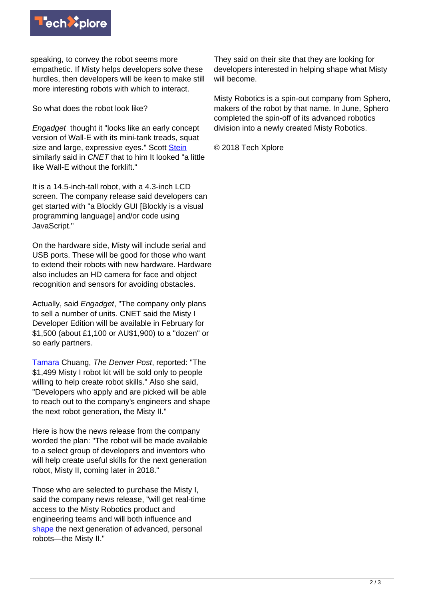

speaking, to convey the robot seems more empathetic. If Misty helps developers solve these hurdles, then developers will be keen to make still more interesting robots with which to interact.

So what does the robot look like?

Engadget thought it "looks like an early concept version of Wall-E with its mini-tank treads, squat size and large, expressive eyes." Scott [Stein](https://www.cnet.com/news/misty-robotics-development-kit-ces-home-sphero/) similarly said in CNET that to him It looked "a little like Wall-E without the forklift."

It is a 14.5-inch-tall robot, with a 4.3-inch LCD screen. The company release said developers can get started with "a Blockly GUI [Blockly is a visual programming language] and/or code using JavaScript."

On the hardware side, Misty will include serial and USB ports. These will be good for those who want to extend their robots with new hardware. Hardware also includes an HD camera for face and object recognition and sensors for avoiding obstacles.

Actually, said *Engadget*, "The company only plans to sell a number of units. CNET said the Misty I Developer Edition will be available in February for \$1,500 (about £1,100 or AU\$1,900) to a "dozen" or so early partners.

[Tamara](https://www.denverpost.com/2018/01/11/boulder-misty-robotics-personal-robot/) Chuang, The Denver Post, reported: "The \$1,499 Misty I robot kit will be sold only to people willing to help create robot skills." Also she said, "Developers who apply and are picked will be able to reach out to the company's engineers and shape the next robot generation, the Misty II."

Here is how the news release from the company worded the plan: "The robot will be made available to a select group of developers and inventors who will help create useful skills for the next generation robot, Misty II, coming later in 2018."

Those who are selected to purchase the Misty I, said the company news release, "will get real-time access to the Misty Robotics product and engineering teams and will both influence and [shape](https://www.businesswire.com/news/home/20180111005336/en/Misty-Robotics-Announces-Misty-Developer-Edition-Prototype) the next generation of advanced, personal robots—the Misty II."

They said on their site that they are looking for developers interested in helping shape what Misty will become.

Misty Robotics is a spin-out company from Sphero, makers of the robot by that name. In June, Sphero completed the spin-off of its advanced robotics division into a newly created Misty Robotics.

© 2018 Tech Xplore